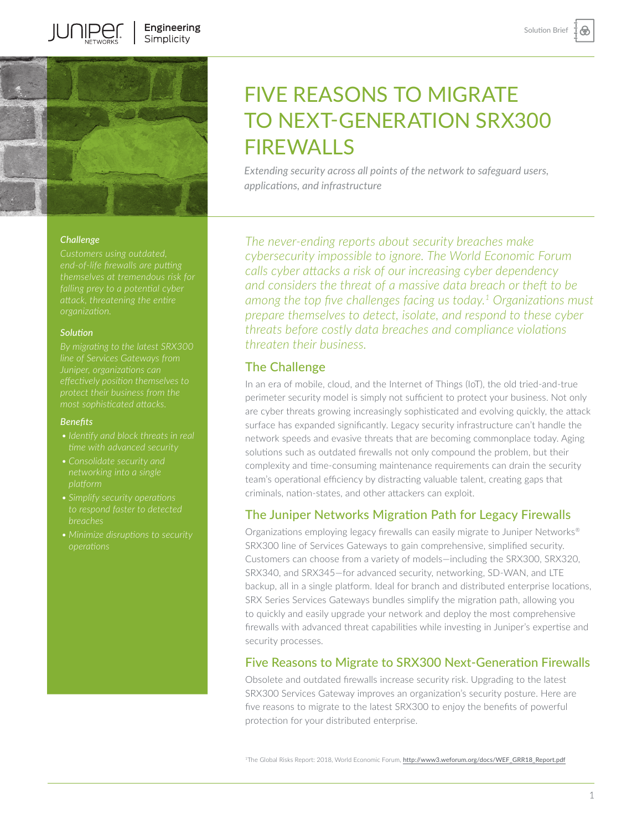⊛



**JUNIPE** 

### *Challenge*

#### *Solution*

*By migrating to the latest SRX300* 

#### *Benefits*

- *• Identify and block threats in real*
- 
- *breaches*
- *• Minimize disruptions to security*

# FIVE REASONS TO MIGRATE TO NEXT-GENERATION SRX300 FIREWALLS

*Extending security across all points of the network to safeguard users, applications, and infrastructure*

*The never-ending reports about security breaches make cybersecurity impossible to ignore. The World Economic Forum calls cyber attacks a risk of our increasing cyber dependency and considers the threat of a massive data breach or theft to be among the top five challenges facing us today.1 Organizations must prepare themselves to detect, isolate, and respond to these cyber threats before costly data breaches and compliance violations threaten their business.* 

## The Challenge

In an era of mobile, cloud, and the Internet of Things (IoT), the old tried-and-true perimeter security model is simply not sufficient to protect your business. Not only are cyber threats growing increasingly sophisticated and evolving quickly, the attack surface has expanded significantly. Legacy security infrastructure can't handle the network speeds and evasive threats that are becoming commonplace today. Aging solutions such as outdated firewalls not only compound the problem, but their complexity and time-consuming maintenance requirements can drain the security team's operational efficiency by distracting valuable talent, creating gaps that criminals, nation-states, and other attackers can exploit.

# The Juniper Networks Migration Path for Legacy Firewalls

Organizations employing legacy firewalls can easily migrate to Juniper Networks® SRX300 line of Services Gateways to gain comprehensive, simplified security. Customers can choose from a variety of models—including the SRX300, SRX320, SRX340, and SRX345—for advanced security, networking, SD-WAN, and LTE backup, all in a single platform. Ideal for branch and distributed enterprise locations, SRX Series Services Gateways bundles simplify the migration path, allowing you to quickly and easily upgrade your network and deploy the most comprehensive firewalls with advanced threat capabilities while investing in Juniper's expertise and security processes.

## Five Reasons to Migrate to SRX300 Next-Generation Firewalls

Obsolete and outdated firewalls increase security risk. Upgrading to the latest SRX300 Services Gateway improves an organization's security posture. Here are five reasons to migrate to the latest SRX300 to enjoy the benefits of powerful protection for your distributed enterprise.

<sup>1</sup>The Global Risks Report: 2018, World Economic Forum, [http://www3.weforum.org/docs/WEF\\_GRR18\\_Report.pdf](http://www3.weforum.org/docs/WEF_GRR18_Report.pdf)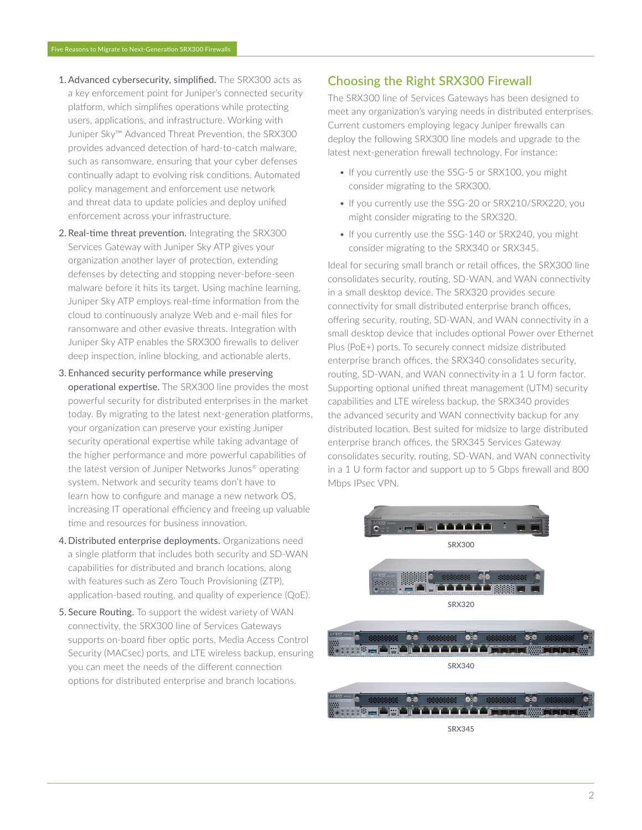- 1. Advanced cybersecurity, simplified. The SRX300 acts as a key enforcement point for Juniper's connected security platform, which simplifies operations while protecting users, applications, and infrastructure. Working with Juniper Sky™ Advanced Threat Prevention, the SRX300 provides advanced detection of hard-to-catch malware, such as ransomware, ensuring that your cyber defenses continually adapt to evolving risk conditions. Automated policy management and enforcement use network and threat data to update policies and deploy unified enforcement across your infrastructure.
- 2. Real-time threat prevention. Integrating the SRX300 Services Gateway with Juniper Sky ATP gives your organization another layer of protection, extending defenses by detecting and stopping never-before-seen malware before it hits its target. Using machine learning, Juniper Sky ATP employs real-time information from the cloud to continuously analyze Web and e-mail files for ransomware and other evasive threats. Integration with Juniper Sky ATP enables the SRX300 firewalls to deliver deep inspection, inline blocking, and actionable alerts.
- 3. Enhanced security performance while preserving operational expertise. The SRX300 line provides the most powerful security for distributed enterprises in the market today. By migrating to the latest next-generation platforms, your organization can preserve your existing Juniper security operational expertise while taking advantage of the higher performance and more powerful capabilities of the latest version of Juniper Networks Junos® operating system. Network and security teams don't have to learn how to configure and manage a new network OS, increasing IT operational efficiency and freeing up valuable time and resources for business innovation.
- 4. Distributed enterprise deployments. Organizations need a single platform that includes both security and SD-WAN capabilities for distributed and branch locations, along with features such as Zero Touch Provisioning (ZTP), application-based routing, and quality of experience (QoE).
- 5. Secure Routing. To support the widest variety of WAN connectivity, the SRX300 line of Services Gateways supports on-board fiber optic ports, Media Access Control Security (MACsec) ports, and LTE wireless backup, ensuring you can meet the needs of the different connection options for distributed enterprise and branch locations.

# Choosing the Right SRX300 Firewall

The SRX300 line of Services Gateways has been designed to meet any organization's varying needs in distributed enterprises. Current customers employing legacy Juniper firewalls can deploy the following SRX300 line models and upgrade to the latest next-generation firewall technology. For instance:

- If you currently use the SSG-5 or SRX100, you might consider migrating to the SRX300.
- If you currently use the SSG-20 or SRX210/SRX220, you might consider migrating to the SRX320.
- If you currently use the SSG-140 or SRX240, you might consider migrating to the SRX340 or SRX345.

Ideal for securing small branch or retail offices, the SRX300 line consolidates security, routing, SD-WAN, and WAN connectivity in a small desktop device. The SRX320 provides secure connectivity for small distributed enterprise branch offices, offering security, routing, SD-WAN, and WAN connectivity in a small desktop device that includes optional Power over Ethernet Plus (PoE+) ports. To securely connect midsize distributed enterprise branch offices, the SRX340 consolidates security, routing, SD-WAN, and WAN connectivity in a 1 U form factor. Supporting optional unified threat management (UTM) security capabilities and LTE wireless backup, the SRX340 provides the advanced security and WAN connectivity backup for any distributed location. Best suited for midsize to large distributed enterprise branch offices, the SRX345 Services Gateway consolidates security, routing, SD-WAN, and WAN connectivity in a 1 U form factor and support up to 5 Gbps firewall and 800 Mbps IPsec VPN.



SRX345